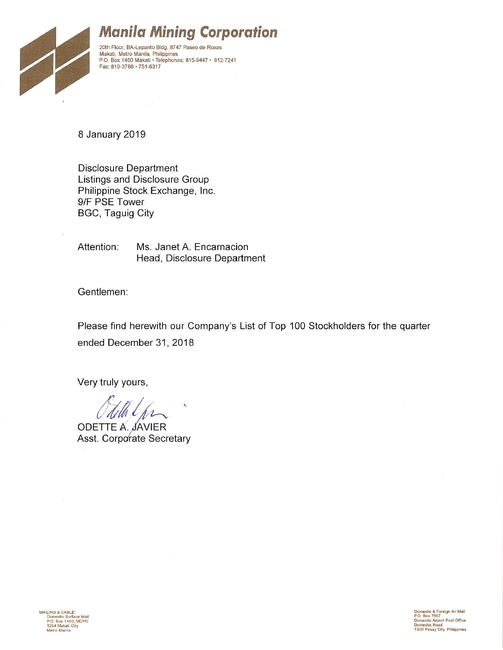

# **Manila Mining Corporation**

20th Floor, BA-Lepanto Bldg. 8747 Paseo de Roxas Makati, Metro Manila, Philippines<br>P.O. Box 1460 Makati • Telephones: 815-9447 • 812-7241 Fax: 819-3786 · 751-6317

8 January 2019

**Disclosure Department** Listings and Disclosure Group Philippine Stock Exchange, Inc. 9/F PSE Tower BGC, Taguig City

Attention: Ms. Janet A. Encarnacion Head, Disclosure Department

Gentlemen:

Please find herewith our Company's List of Top 100 Stockholders for the quarter ended December 31, 2018

Very truly yours,

MAILING & CABLE: LING & CABLE:<br>Domestic Surface Mail<br>P.O. Box 1460, MCPO<br>1254 Makati City Metro Manila

**ODETTE A. JAVIER** Asst. Corporate Secretary

Domestic & Foreign Air Mail<br>P.O. Box 7507<br>Domestic Airport Post Office<br>Domestic Road<br>1300 Pasay City, Philippines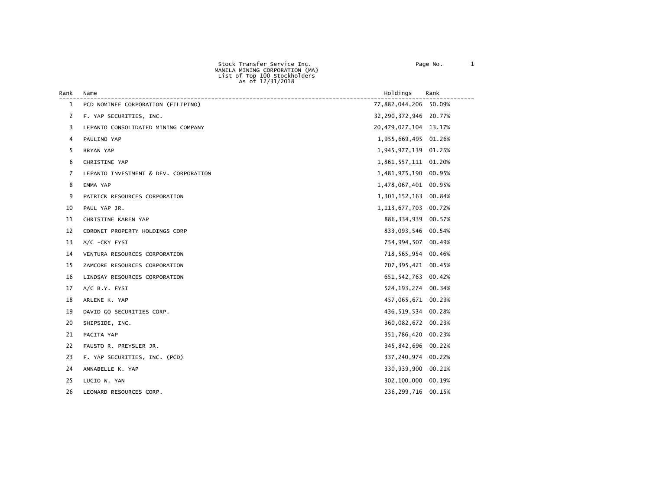| Rank | Name                                  | Holdings                 | Rank   |
|------|---------------------------------------|--------------------------|--------|
| 1    | PCD NOMINEE CORPORATION (FILIPINO)    | 77,882,044,206 50.09%    |        |
| 2    | F. YAP SECURITIES, INC.               | 32, 290, 372, 946 20.77% |        |
| 3    | LEPANTO CONSOLIDATED MINING COMPANY   | 20,479,027,104 13.17%    |        |
| 4    | PAULINO YAP                           | 1,955,669,495 01.26%     |        |
| 5    | BRYAN YAP                             | 1,945,977,139 01.25%     |        |
| 6    | CHRISTINE YAP                         | 1,861,557,111 01.20%     |        |
| 7    | LEPANTO INVESTMENT & DEV. CORPORATION | 1,481,975,190 00.95%     |        |
| 8    | EMMA YAP                              | 1,478,067,401 00.95%     |        |
| 9    | PATRICK RESOURCES CORPORATION         | 1,301,152,163 00.84%     |        |
| 10   | PAUL YAP JR.                          | 1, 113, 677, 703 00. 72% |        |
| 11   | CHRISTINE KAREN YAP                   | 886, 334, 939 00.57%     |        |
| 12   | CORONET PROPERTY HOLDINGS CORP        | 833,093,546 00.54%       |        |
| 13   | A/C -CKY FYSI                         | 754,994,507 00.49%       |        |
| 14   | VENTURA RESOURCES CORPORATION         | 718,565,954 00.46%       |        |
| 15   | ZAMCORE RESOURCES CORPORATION         | 707,395,421 00.45%       |        |
| 16   | LINDSAY RESOURCES CORPORATION         | 651, 542, 763 00.42%     |        |
| 17   | $A/C$ B.Y. FYSI                       | 524, 193, 274 00.34%     |        |
| 18   | ARLENE K. YAP                         | 457,065,671 00.29%       |        |
| 19   | DAVID GO SECURITIES CORP.             | 436,519,534 00.28%       |        |
| 20   | SHIPSIDE, INC.                        | 360,082,672 00.23%       |        |
| 21   | PACITA YAP                            | 351,786,420 00.23%       |        |
| 22   | FAUSTO R. PREYSLER JR.                | 345,842,696 00.22%       |        |
| 23   | F. YAP SECURITIES, INC. (PCD)         | 337,240,974 00.22%       |        |
| 24   | ANNABELLE K. YAP                      | 330,939,900 00.21%       |        |
| 25   | LUCIO W. YAN                          | 302,100,000              | 00.19% |
| 26   | LEONARD RESOURCES CORP.               | 236,299,716 00.15%       |        |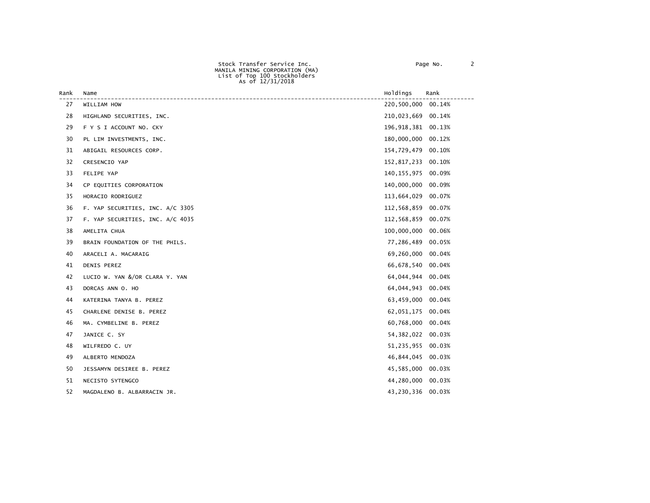| Rank | Name                             | Holdings             | Rank   |
|------|----------------------------------|----------------------|--------|
| 27   | WILLIAM HOW                      | 220,500,000          | 00.14% |
| 28   | HIGHLAND SECURITIES, INC.        | 210,023,669          | 00.14% |
| 29   | F Y S I ACCOUNT NO. CKY          | 196, 918, 381 00.13% |        |
| 30   | PL LIM INVESTMENTS, INC.         | 180,000,000          | 00.12% |
| 31   | ABIGAIL RESOURCES CORP.          | 154,729,479          | 00.10% |
| 32   | CRESENCIO YAP                    | 152,817,233 00.10%   |        |
| 33   | FELIPE YAP                       | 140, 155, 975        | 00.09% |
| 34   | CP EQUITIES CORPORATION          | 140,000,000          | 00.09% |
| 35   | HORACIO RODRIGUEZ                | 113,664,029          | 00.07% |
| 36   | F. YAP SECURITIES, INC. A/C 3305 | 112,568,859 00.07%   |        |
| 37   | F. YAP SECURITIES, INC. A/C 4035 | 112,568,859          | 00.07% |
| 38   | AMELITA CHUA                     | 100,000,000          | 00.06% |
| 39   | BRAIN FOUNDATION OF THE PHILS.   | 77,286,489           | 00.05% |
| 40   | ARACELI A. MACARAIG              | 69,260,000           | 00.04% |
| 41   | DENIS PEREZ                      | 66,678,540 00.04%    |        |
| 42   | LUCIO W. YAN &/OR CLARA Y. YAN   | 64,044,944           | 00.04% |
| 43   | DORCAS ANN O. HO                 | 64,044,943           | 00.04% |
| 44   | KATERINA TANYA B. PEREZ          | 63,459,000           | 00.04% |
| 45   | CHARLENE DENISE B. PEREZ         | 62,051,175           | 00.04% |
| 46   | MA. CYMBELINE B. PEREZ           | 60,768,000           | 00.04% |
| 47   | JANICE C. SY                     | 54, 382, 022         | 00.03% |
| 48   | WILFREDO C. UY                   | 51,235,955           | 00.03% |
| 49   | ALBERTO MENDOZA                  | 46,844,045           | 00.03% |
| 50   | JESSAMYN DESIREE B. PEREZ        | 45,585,000           | 00.03% |
| 51   | NECISTO SYTENGCO                 | 44,280,000           | 00.03% |
| 52   | MAGDALENO B. ALBARRACIN JR.      | 43,230,336           | 00.03% |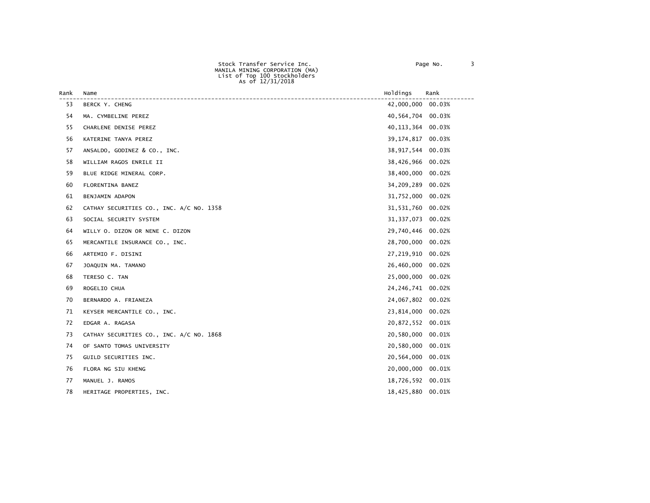| Rank | Name                                     | Holdings          | Rank   |
|------|------------------------------------------|-------------------|--------|
| 53   | BERCK Y. CHENG                           | 42,000,000        | 00.03% |
| 54   | MA. CYMBELINE PEREZ                      | 40,564,704        | 00.03% |
| 55   | CHARLENE DENISE PEREZ                    | 40, 113, 364      | 00.03% |
| 56   | KATERINE TANYA PEREZ                     | 39,174,817        | 00.03% |
| 57   | ANSALDO, GODINEZ & CO., INC.             | 38,917,544        | 00.03% |
| 58   | WILLIAM RAGOS ENRILE II                  | 38,426,966        | 00.02% |
| 59   | BLUE RIDGE MINERAL CORP.                 | 38,400,000        | 00.02% |
| 60   | FLORENTINA BANEZ                         | 34,209,289        | 00.02% |
| 61   | BENJAMIN ADAPON                          | 31,752,000        | 00.02% |
| 62   | CATHAY SECURITIES CO., INC. A/C NO. 1358 | 31, 531, 760      | 00.02% |
| 63   | SOCIAL SECURITY SYSTEM                   | 31, 337, 073      | 00.02% |
| 64   | WILLY O. DIZON OR NENE C. DIZON          | 29,740,446        | 00.02% |
| 65   | MERCANTILE INSURANCE CO., INC.           | 28,700,000        | 00.02% |
| 66   | ARTEMIO F. DISINI                        | 27,219,910        | 00.02% |
| 67   | JOAQUIN MA. TAMANO                       | 26,460,000        | 00.02% |
| 68   | TERESO C. TAN                            | 25,000,000        | 00.02% |
| 69   | ROGELIO CHUA                             | 24,246,741        | 00.02% |
| 70   | BERNARDO A. FRIANEZA                     | 24,067,802        | 00.02% |
| 71   | KEYSER MERCANTILE CO., INC.              | 23,814,000        | 00.02% |
| 72   | EDGAR A. RAGASA                          | 20,872,552 00.01% |        |
| 73   | CATHAY SECURITIES CO., INC. A/C NO. 1868 | 20,580,000        | 00.01% |
| 74   | OF SANTO TOMAS UNIVERSITY                | 20,580,000        | 00.01% |
| 75   | GUILD SECURITIES INC.                    | 20,564,000        | 00.01% |
| 76   | FLORA NG SIU KHENG                       | 20,000,000        | 00.01% |
| 77   | MANUEL J. RAMOS                          | 18,726,592        | 00.01% |
| 78   | HERITAGE PROPERTIES, INC.                | 18,425,880        | 00.01% |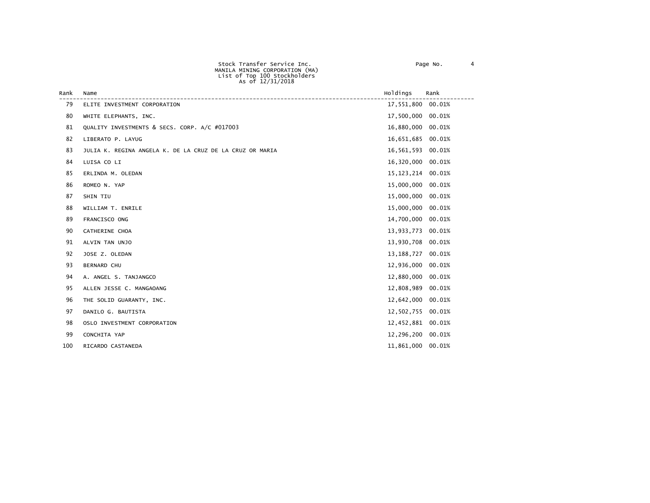| Rank | Name                                                     | Holdings          | Rank   |
|------|----------------------------------------------------------|-------------------|--------|
| 79   | ELITE INVESTMENT CORPORATION                             | 17,551,800        | 00.01% |
| 80   | WHITE ELEPHANTS, INC.                                    | 17,500,000        | 00.01% |
| 81   | QUALITY INVESTMENTS & SECS. CORP. A/C #017003            | 16,880,000        | 00.01% |
| 82   | LIBERATO P. LAYUG                                        | 16,651,685 00.01% |        |
| 83   | JULIA K. REGINA ANGELA K. DE LA CRUZ DE LA CRUZ OR MARIA | 16,561,593        | 00.01% |
| 84   | LUISA CO LI                                              | 16,320,000        | 00.01% |
| 85   | ERLINDA M. OLEDAN                                        | 15, 123, 214      | 00.01% |
| 86   | ROMEO N. YAP                                             | 15,000,000        | 00.01% |
| 87   | SHIN TIU                                                 | 15,000,000        | 00.01% |
| 88   | WILLIAM T. ENRILE                                        | 15,000,000        | 00.01% |
| 89   | FRANCISCO ONG                                            | 14,700,000        | 00.01% |
| 90   | CATHERINE CHOA                                           | 13,933,773 00.01% |        |
| 91   | ALVIN TAN UNJO                                           | 13,930,708        | 00.01% |
| 92   | JOSE Z. OLEDAN                                           | 13,188,727        | 00.01% |
| 93   | <b>BERNARD CHU</b>                                       | 12,936,000        | 00.01% |
| 94   | A. ANGEL S. TANJANGCO                                    | 12,880,000        | 00.01% |
| 95   | ALLEN JESSE C. MANGAOANG                                 | 12,808,989        | 00.01% |
| 96   | THE SOLID GUARANTY, INC.                                 | 12,642,000        | 00.01% |
| 97   | DANILO G. BAUTISTA                                       | 12,502,755        | 00.01% |
| 98   | OSLO INVESTMENT CORPORATION                              | 12,452,881        | 00.01% |
| 99   | CONCHITA YAP                                             | 12,296,200        | 00.01% |
| 100  | RICARDO CASTANEDA                                        | 11,861,000        | 00.01% |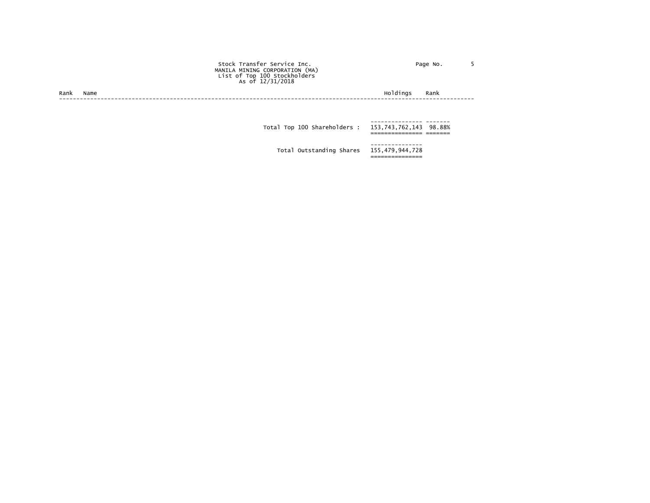|      |      | Stock Transfer Service Inc.<br>MANILA MINING CORPORATION (MA)<br>List of Top 100 Stockholders<br>As of 12/31/2018 | Page No.         |  |
|------|------|-------------------------------------------------------------------------------------------------------------------|------------------|--|
| Rank | Name |                                                                                                                   | Holdings<br>Rank |  |
|      |      | Total Top 100 Shareholders: 153,743,762,143 98.88%                                                                |                  |  |
|      |      | Total Outstanding Shares 155,479,944,728                                                                          | --------------   |  |

===============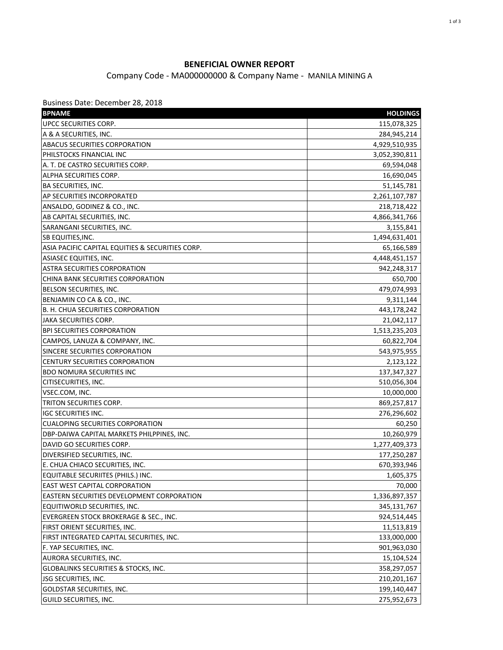## **BENEFICIAL OWNER REPORT**

Company Code - MA000000000 & Company Name - MANILA MINING A

Business Date: December 28, 2018

| <b>BPNAME</b>                                    | <b>HOLDINGS</b> |
|--------------------------------------------------|-----------------|
| UPCC SECURITIES CORP.                            | 115,078,325     |
| A & A SECURITIES, INC.                           | 284,945,214     |
| <b>ABACUS SECURITIES CORPORATION</b>             | 4,929,510,935   |
| PHILSTOCKS FINANCIAL INC                         | 3,052,390,811   |
| A. T. DE CASTRO SECURITIES CORP.                 | 69,594,048      |
| ALPHA SECURITIES CORP.                           | 16,690,045      |
| BA SECURITIES, INC.                              | 51,145,781      |
| AP SECURITIES INCORPORATED                       | 2,261,107,787   |
| ANSALDO, GODINEZ & CO., INC.                     | 218,718,422     |
| AB CAPITAL SECURITIES, INC.                      | 4,866,341,766   |
| SARANGANI SECURITIES, INC.                       | 3,155,841       |
| SB EQUITIES, INC.                                | 1,494,631,401   |
| ASIA PACIFIC CAPITAL EQUITIES & SECURITIES CORP. | 65,166,589      |
| ASIASEC EQUITIES, INC.                           | 4,448,451,157   |
| <b>ASTRA SECURITIES CORPORATION</b>              | 942,248,317     |
| CHINA BANK SECURITIES CORPORATION                | 650,700         |
| BELSON SECURITIES, INC.                          | 479,074,993     |
| BENJAMIN CO CA & CO., INC.                       | 9,311,144       |
| B. H. CHUA SECURITIES CORPORATION                | 443,178,242     |
| JAKA SECURITIES CORP.                            | 21,042,117      |
| <b>BPI SECURITIES CORPORATION</b>                | 1,513,235,203   |
| CAMPOS, LANUZA & COMPANY, INC.                   | 60,822,704      |
| SINCERE SECURITIES CORPORATION                   | 543,975,955     |
| CENTURY SECURITIES CORPORATION                   | 2,123,122       |
| <b>BDO NOMURA SECURITIES INC</b>                 | 137, 347, 327   |
| CITISECURITIES, INC.                             | 510,056,304     |
| VSEC.COM, INC.                                   | 10,000,000      |
| TRITON SECURITIES CORP.                          | 869,257,817     |
| <b>IGC SECURITIES INC.</b>                       | 276,296,602     |
| <b>CUALOPING SECURITIES CORPORATION</b>          | 60,250          |
| DBP-DAIWA CAPITAL MARKETS PHILPPINES, INC.       | 10,260,979      |
| DAVID GO SECURITIES CORP.                        | 1,277,409,373   |
| DIVERSIFIED SECURITIES, INC.                     | 177,250,287     |
| E. CHUA CHIACO SECURITIES, INC.                  | 670,393,946     |
| EQUITABLE SECURIITES (PHILS.) INC.               | 1,605,375       |
| EAST WEST CAPITAL CORPORATION                    | 70,000          |
| EASTERN SECURITIES DEVELOPMENT CORPORATION       | 1,336,897,357   |
| EQUITIWORLD SECURITIES, INC.                     | 345,131,767     |
| EVERGREEN STOCK BROKERAGE & SEC., INC.           | 924,514,445     |
| FIRST ORIENT SECURITIES, INC.                    | 11,513,819      |
| FIRST INTEGRATED CAPITAL SECURITIES, INC.        | 133,000,000     |
| F. YAP SECURITIES, INC.                          | 901,963,030     |
| AURORA SECURITIES, INC.                          | 15,104,524      |
| GLOBALINKS SECURITIES & STOCKS, INC.             | 358,297,057     |
| JSG SECURITIES, INC.                             | 210,201,167     |
| <b>GOLDSTAR SECURITIES, INC.</b>                 | 199,140,447     |
| GUILD SECURITIES, INC.                           | 275,952,673     |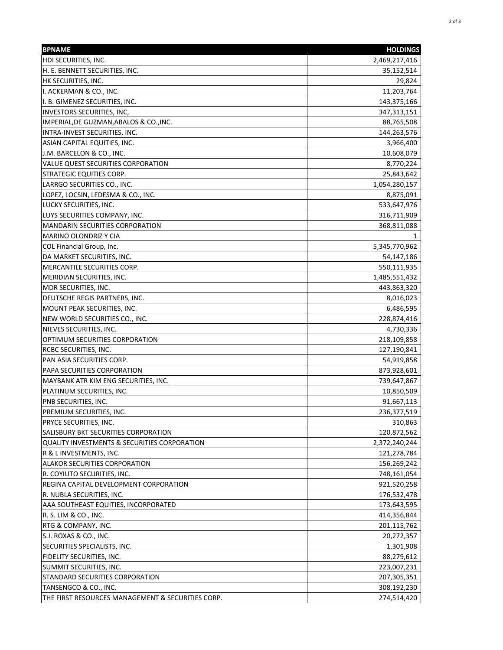| <b>BPNAME</b>                                     | <b>HOLDINGS</b> |
|---------------------------------------------------|-----------------|
| HDI SECURITIES, INC.                              | 2,469,217,416   |
| H. E. BENNETT SECURITIES, INC.                    | 35,152,514      |
| HK SECURITIES, INC.                               | 29,824          |
| I. ACKERMAN & CO., INC.                           | 11,203,764      |
| I. B. GIMENEZ SECURITIES, INC.                    | 143,375,166     |
| <b>INVESTORS SECURITIES, INC,</b>                 | 347, 313, 151   |
| IMPERIAL, DE GUZMAN, ABALOS & CO., INC.           | 88,765,508      |
| INTRA-INVEST SECURITIES, INC.                     | 144,263,576     |
| ASIAN CAPITAL EQUITIES, INC.                      | 3,966,400       |
| J.M. BARCELON & CO., INC.                         | 10,608,079      |
| VALUE QUEST SECURITIES CORPORATION                | 8,770,224       |
| <b>STRATEGIC EQUITIES CORP.</b>                   | 25,843,642      |
| LARRGO SECURITIES CO., INC.                       | 1,054,280,157   |
| LOPEZ, LOCSIN, LEDESMA & CO., INC.                | 8,875,091       |
| LUCKY SECURITIES, INC.                            | 533,647,976     |
| LUYS SECURITIES COMPANY, INC.                     | 316,711,909     |
| <b>MANDARIN SECURITIES CORPORATION</b>            | 368,811,088     |
| MARINO OLONDRIZ Y CIA                             | 1               |
| COL Financial Group, Inc.                         | 5,345,770,962   |
| DA MARKET SECURITIES, INC.                        | 54,147,186      |
| MERCANTILE SECURITIES CORP.                       | 550,111,935     |
| MERIDIAN SECURITIES, INC.                         | 1,485,551,432   |
| MDR SECURITIES, INC.                              | 443,863,320     |
| DEUTSCHE REGIS PARTNERS, INC.                     | 8,016,023       |
| MOUNT PEAK SECURITIES, INC.                       | 6,486,595       |
| NEW WORLD SECURITIES CO., INC.                    | 228,874,416     |
| NIEVES SECURITIES, INC.                           | 4,730,336       |
| OPTIMUM SECURITIES CORPORATION                    | 218,109,858     |
| RCBC SECURITIES, INC.                             | 127,190,841     |
| PAN ASIA SECURITIES CORP.                         | 54,919,858      |
| PAPA SECURITIES CORPORATION                       | 873,928,601     |
| MAYBANK ATR KIM ENG SECURITIES, INC.              | 739,647,867     |
| PLATINUM SECURITIES, INC.                         | 10,850,509      |
| PNB SECURITIES, INC.                              | 91,667,113      |
| PREMIUM SECURITIES, INC.                          | 236,377,519     |
| <b>PRYCE SECURITIES, INC.</b>                     | 310,863         |
| SALISBURY BKT SECURITIES CORPORATION              | 120,872,562     |
| QUALITY INVESTMENTS & SECURITIES CORPORATION      | 2,372,240,244   |
| R & L INVESTMENTS, INC.                           | 121,278,784     |
| ALAKOR SECURITIES CORPORATION                     | 156,269,242     |
| R. COYIUTO SECURITIES, INC.                       | 748,161,054     |
| REGINA CAPITAL DEVELOPMENT CORPORATION            | 921,520,258     |
| R. NUBLA SECURITIES, INC.                         | 176,532,478     |
| AAA SOUTHEAST EQUITIES, INCORPORATED              | 173,643,595     |
| R. S. LIM & CO., INC.                             | 414,356,844     |
| RTG & COMPANY, INC.                               | 201,115,762     |
| S.J. ROXAS & CO., INC.                            | 20,272,357      |
| SECURITIES SPECIALISTS, INC.                      | 1,301,908       |
| FIDELITY SECURITIES, INC.                         | 88,279,612      |
| SUMMIT SECURITIES, INC.                           | 223,007,231     |
| STANDARD SECURITIES CORPORATION                   | 207,305,351     |
| TANSENGCO & CO., INC.                             | 308,192,230     |
| THE FIRST RESOURCES MANAGEMENT & SECURITIES CORP. | 274,514,420     |
|                                                   |                 |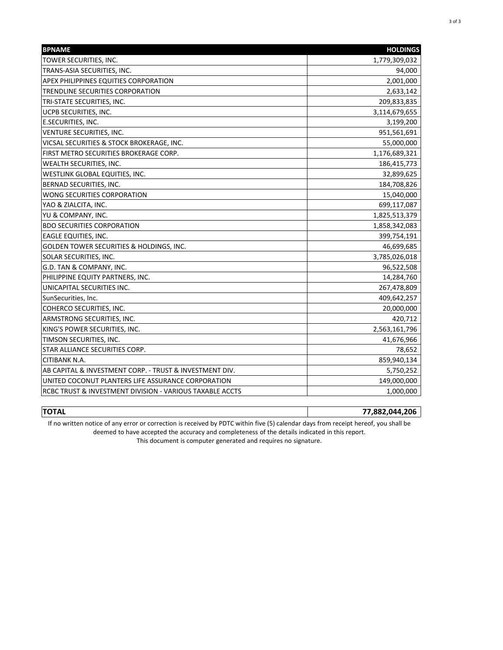| <b>BPNAME</b>                                            | <b>HOLDINGS</b> |
|----------------------------------------------------------|-----------------|
| TOWER SECURITIES, INC.                                   | 1,779,309,032   |
| TRANS-ASIA SECURITIES, INC.                              | 94,000          |
| APEX PHILIPPINES EQUITIES CORPORATION                    | 2,001,000       |
| TRENDLINE SECURITIES CORPORATION                         | 2,633,142       |
| TRI-STATE SECURITIES, INC.                               | 209,833,835     |
| <b>UCPB SECURITIES, INC.</b>                             | 3,114,679,655   |
| <b>E.SECURITIES, INC.</b>                                | 3,199,200       |
| <b>VENTURE SECURITIES, INC.</b>                          | 951,561,691     |
| VICSAL SECURITIES & STOCK BROKERAGE, INC.                | 55,000,000      |
| FIRST METRO SECURITIES BROKERAGE CORP.                   | 1,176,689,321   |
| <b>WEALTH SECURITIES, INC.</b>                           | 186,415,773     |
| WESTLINK GLOBAL EQUITIES, INC.                           | 32,899,625      |
| BERNAD SECURITIES, INC.                                  | 184,708,826     |
| <b>WONG SECURITIES CORPORATION</b>                       | 15,040,000      |
| YAO & ZIALCITA, INC.                                     | 699,117,087     |
| YU & COMPANY, INC.                                       | 1,825,513,379   |
| <b>BDO SECURITIES CORPORATION</b>                        | 1,858,342,083   |
| <b>EAGLE EQUITIES, INC.</b>                              | 399,754,191     |
| GOLDEN TOWER SECURITIES & HOLDINGS, INC.                 | 46,699,685      |
| SOLAR SECURITIES, INC.                                   | 3,785,026,018   |
| G.D. TAN & COMPANY, INC.                                 | 96,522,508      |
| PHILIPPINE EQUITY PARTNERS, INC.                         | 14,284,760      |
| UNICAPITAL SECURITIES INC.                               | 267,478,809     |
| SunSecurities, Inc.                                      | 409,642,257     |
| COHERCO SECURITIES, INC.                                 | 20,000,000      |
| ARMSTRONG SECURITIES, INC.                               | 420,712         |
| KING'S POWER SECURITIES, INC.                            | 2,563,161,796   |
| TIMSON SECURITIES, INC.                                  | 41,676,966      |
| STAR ALLIANCE SECURITIES CORP.                           | 78,652          |
| <b>CITIBANK N.A.</b>                                     | 859,940,134     |
| AB CAPITAL & INVESTMENT CORP. - TRUST & INVESTMENT DIV.  | 5,750,252       |
| UNITED COCONUT PLANTERS LIFE ASSURANCE CORPORATION       | 149,000,000     |
| RCBC TRUST & INVESTMENT DIVISION - VARIOUS TAXABLE ACCTS | 1,000,000       |

**TOTAL 77,882,044,206** If no written notice of any error or correction is received by PDTC within five (5) calendar days from receipt hereof, you shall be

deemed to have accepted the accuracy and completeness of the details indicated in this report.

This document is computer generated and requires no signature.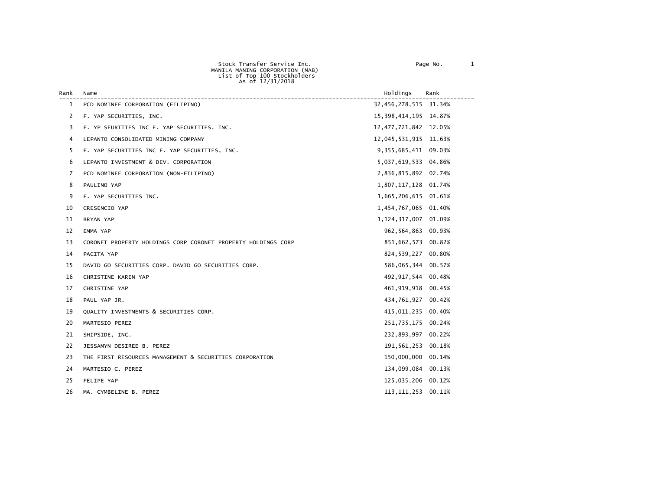Stock Transfer Service Inc. et al. 2010 1 Page No. 2010

|      |                                    | MANILA MANING CORPORATION (MAB)<br>List of Top 100 Stockholders<br>As of 12/31/2018 |                      |      |
|------|------------------------------------|-------------------------------------------------------------------------------------|----------------------|------|
| Rank | Name                               |                                                                                     | Holdinas             | Rank |
|      | PCD NOMINEE CORPORATION (FILIPINO) |                                                                                     | 32,456,278,515 31.34 |      |

| <b>Rank</b>  | name                                                          | <b>HOTQ1NGS</b>          | <b>Rank</b> |
|--------------|---------------------------------------------------------------|--------------------------|-------------|
| $\mathbf{1}$ | PCD NOMINEE CORPORATION (FILIPINO)                            | 32,456,278,515 31.34%    |             |
| 2            | F. YAP SECURITIES, INC.                                       | 15, 398, 414, 195 14.87% |             |
| 3            | F. YP SEURITIES INC F. YAP SECURITIES, INC.                   | 12, 477, 721, 842 12.05% |             |
| 4            | LEPANTO CONSOLIDATED MINING COMPANY                           | 12,045,531,915 11.63%    |             |
| 5            | F. YAP SECURITIES INC F. YAP SECURITIES, INC.                 | 9,355,685,411 09.03%     |             |
| 6            | LEPANTO INVESTMENT & DEV. CORPORATION                         | 5,037,619,533 04.86%     |             |
| 7            | PCD NOMINEE CORPORATION (NON-FILIPINO)                        | 2,836,815,892 02.74%     |             |
| 8            | PAULINO YAP                                                   | 1,807,117,128 01.74%     |             |
| 9            | F. YAP SECURITIES INC.                                        | 1,665,206,615 01.61%     |             |
| 10           | CRESENCIO YAP                                                 | 1,454,767,065 01.40%     |             |
| 11           | BRYAN YAP                                                     | 1, 124, 317, 007 01.09%  |             |
| 12           | EMMA YAP                                                      | 962,564,863 00.93%       |             |
| 13           | CORONET PROPERTY HOLDINGS CORP CORONET PROPERTY HOLDINGS CORP | 851,662,573 00.82%       |             |
| 14           | PACITA YAP                                                    | 824,539,227 00.80%       |             |
| 15           | DAVID GO SECURITIES CORP. DAVID GO SECURITIES CORP.           | 586,065,344 00.57%       |             |
| 16           | CHRISTINE KAREN YAP                                           | 492, 917, 544 00.48%     |             |
| 17           | CHRISTINE YAP                                                 | 461,919,918 00.45%       |             |
| 18           | PAUL YAP JR.                                                  | 434,761,927 00.42%       |             |
| 19           | QUALITY INVESTMENTS & SECURITIES CORP.                        | 415,011,235 00.40%       |             |
| 20           | MARTESIO PEREZ                                                | 251,735,175 00.24%       |             |
| 21           | SHIPSIDE, INC.                                                | 232,893,997 00.22%       |             |
| 22           | JESSAMYN DESIREE B. PEREZ                                     | 191,561,253              | 00.18%      |
| 23           | THE FIRST RESOURCES MANAGEMENT & SECURITIES CORPORATION       | 150,000,000 00.14%       |             |
| 24           | MARTESIO C. PEREZ                                             | 134,099,084 00.13%       |             |
| 25           | FELIPE YAP                                                    | 125,035,206 00.12%       |             |
| 26           | MA. CYMBELINE B. PEREZ                                        | 113, 111, 253 00. 11%    |             |
|              |                                                               |                          |             |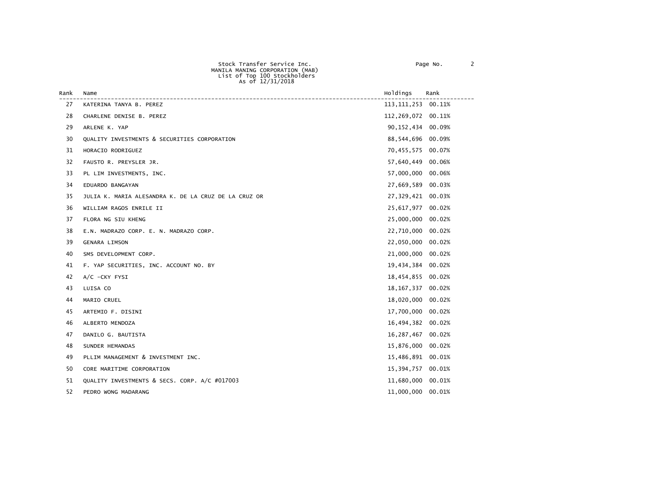| Stock Transfer Service Inc.     | Page No. |  |
|---------------------------------|----------|--|
| MANILA MANING CORPORATION (MAB) |          |  |
| List of Top 100 Stockholders    |          |  |
| As of 12/31/2018                |          |  |
|                                 |          |  |

| Page No. |  |
|----------|--|
|----------|--|

| Rank | Name                                                 | Holdings              | Rank |
|------|------------------------------------------------------|-----------------------|------|
| 27   | KATERINA TANYA B. PEREZ                              | 113, 111, 253 00. 11% |      |
| 28   | CHARLENE DENISE B. PEREZ                             | 112,269,072 00.11%    |      |
| 29   | ARLENE K. YAP                                        | 90, 152, 434 00.09%   |      |
| 30   | QUALITY INVESTMENTS & SECURITIES CORPORATION         | 88,544,696 00.09%     |      |
| 31   | HORACIO RODRIGUEZ                                    | 70,455,575 00.07%     |      |
| 32   | FAUSTO R. PREYSLER JR.                               | 57,640,449 00.06%     |      |
| 33   | PL LIM INVESTMENTS, INC.                             | 57,000,000 00.06%     |      |
| 34   | EDUARDO BANGAYAN                                     | 27,669,589 00.03%     |      |
| 35   | JULIA K. MARIA ALESANDRA K. DE LA CRUZ DE LA CRUZ OR | 27,329,421 00.03%     |      |
| 36   | WILLIAM RAGOS ENRILE II                              | 25,617,977 00.02%     |      |
| 37   | FLORA NG SIU KHENG                                   | 25,000,000 00.02%     |      |
| 38   | E.N. MADRAZO CORP. E. N. MADRAZO CORP.               | 22,710,000 00.02%     |      |
| 39   | <b>GENARA LIMSON</b>                                 | 22,050,000 00.02%     |      |
| 40   | SMS DEVELOPMENT CORP.                                | 21,000,000 00.02%     |      |
| 41   | F. YAP SECURITIES, INC. ACCOUNT NO. BY               | 19,434,384 00.02%     |      |
| 42   | A/C -CKY FYSI                                        | 18,454,855 00.02%     |      |
| 43   | LUISA CO                                             | 18, 167, 337 00.02%   |      |
| 44   | MARIO CRUEL                                          | 18,020,000 00.02%     |      |
| 45   | ARTEMIO F. DISINI                                    | 17,700,000 00.02%     |      |
| 46   | ALBERTO MENDOZA                                      | 16,494,382 00.02%     |      |
| 47   | DANILO G. BAUTISTA                                   | 16,287,467 00.02%     |      |
| 48   | SUNDER HEMANDAS                                      | 15,876,000 00.02%     |      |
| 49   | PLLIM MANAGEMENT & INVESTMENT INC.                   | 15,486,891 00.01%     |      |
| 50   | CORE MARITIME CORPORATION                            | 15,394,757 00.01%     |      |
| 51   | QUALITY INVESTMENTS & SECS. CORP. A/C #017003        | 11,680,000 00.01%     |      |
| 52   | PEDRO WONG MADARANG                                  | 11,000,000 00.01%     |      |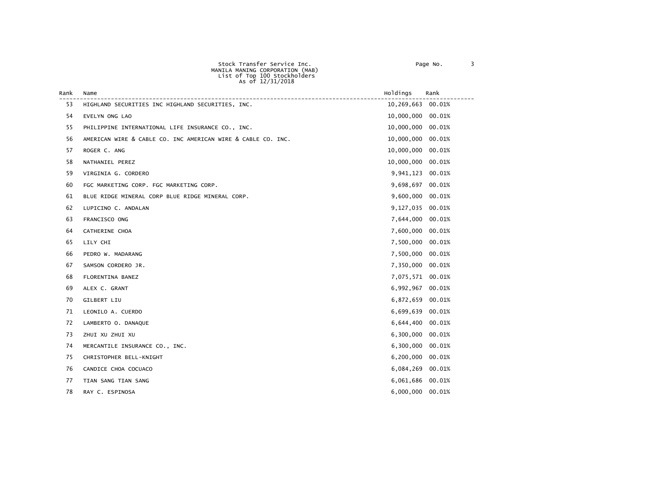| Stock Transfer Service Inc.     |
|---------------------------------|
| MANILA MANING CORPORATION (MAB) |
| List of Top 100 Stockholders    |
| As of 12/31/2018                |
|                                 |

| Rank | Name                                                         | Holdings         | Rank   |
|------|--------------------------------------------------------------|------------------|--------|
| 53   | HIGHLAND SECURITIES INC HIGHLAND SECURITIES, INC.            | 10,269,663       | 00.01% |
| 54   | EVELYN ONG LAO                                               | 10,000,000       | 00.01% |
| 55   | PHILIPPINE INTERNATIONAL LIFE INSURANCE CO., INC.            | 10,000,000       | 00.01% |
| 56   | AMERICAN WIRE & CABLE CO. INC AMERICAN WIRE & CABLE CO. INC. | 10,000,000       | 00.01% |
| 57   | ROGER C. ANG                                                 | 10,000,000       | 00.01% |
| 58   | NATHANIEL PEREZ                                              | 10,000,000       | 00.01% |
| 59   | VIRGINIA G. CORDERO                                          | 9,941,123        | 00.01% |
| 60   | FGC MARKETING CORP. FGC MARKETING CORP.                      | 9,698,697        | 00.01% |
| 61   | BLUE RIDGE MINERAL CORP BLUE RIDGE MINERAL CORP.             | 9,600,000        | 00.01% |
| 62   | LUPICINO C. ANDALAN                                          | 9,127,035        | 00.01% |
| 63   | FRANCISCO ONG                                                | 7,644,000        | 00.01% |
| 64   | CATHERINE CHOA                                               | 7,600,000        | 00.01% |
| 65   | LILY CHI                                                     | 7,500,000        | 00.01% |
| 66   | PEDRO W. MADARANG                                            | 7,500,000        | 00.01% |
| 67   | SAMSON CORDERO JR.                                           | 7,350,000        | 00.01% |
| 68   | FLORENTINA BANEZ                                             | 7,075,571 00.01% |        |
| 69   | ALEX C. GRANT                                                | 6,992,967        | 00.01% |
| 70   | GILBERT LIU                                                  | 6,872,659        | 00.01% |
| 71   | LEONILO A. CUERDO                                            | 6,699,639        | 00.01% |
| 72   | LAMBERTO O. DANAQUE                                          | 6,644,400        | 00.01% |
| 73   | ZHUI XU ZHUI XU                                              | 6,300,000        | 00.01% |
| 74   | MERCANTILE INSURANCE CO., INC.                               | 6,300,000        | 00.01% |
| 75   | CHRISTOPHER BELL-KNIGHT                                      | 6,200,000        | 00.01% |
| 76   | CANDICE CHOA COCUACO                                         | 6,084,269        | 00.01% |
| 77   | TIAN SANG TIAN SANG                                          | 6,061,686        | 00.01% |
| 78   | RAY C. ESPINOSA                                              | 6,000,000        | 00.01% |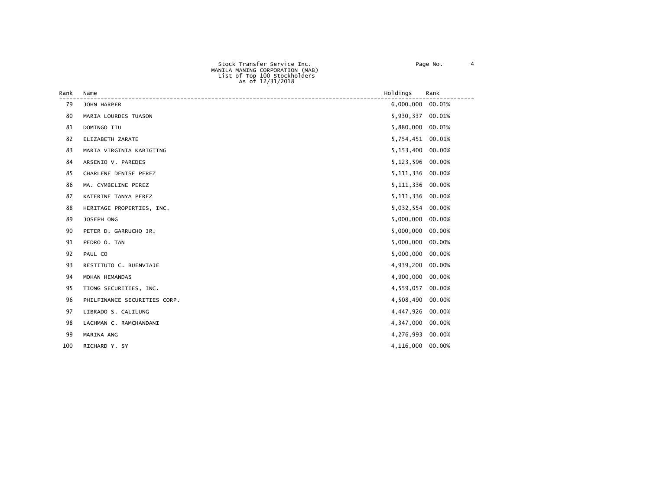|      | AS UI IZ/JI/ZUIO          |                  |      |
|------|---------------------------|------------------|------|
| Rank | Name                      | Holdings         | Rank |
| 79   | JOHN HARPER               | 6,000,000 00.01% |      |
| 80   | MARIA LOURDES TUASON      | 5,930,337 00.01% |      |
| 81   | DOMINGO TIU               | 5,880,000 00.01% |      |
| 82   | ELIZABETH ZARATE          | 5,754,451 00.01% |      |
| 83   | MARIA VIRGINIA KABIGTING  | 5,153,400 00.00% |      |
| 84   | ARSENIO V. PAREDES        | 5,123,596 00.00% |      |
| 85   | CHARLENE DENISE PEREZ     | 5,111,336 00.00% |      |
| 86   | MA. CYMBELINE PEREZ       | 5,111,336 00.00% |      |
| 87   | KATERINE TANYA PEREZ      | 5,111,336 00.00% |      |
| 88   | HERITAGE PROPERTIES, INC. | 5,032,554 00.00% |      |

| ິ  | KATERINE TARTA LEREZ         |           |           |
|----|------------------------------|-----------|-----------|
| 88 | HERITAGE PROPERTIES, INC.    | 5,032,554 | $00.00\%$ |
| 89 | JOSEPH ONG                   | 5,000,000 | 00.00%    |
| 90 | PETER D. GARRUCHO JR.        | 5,000,000 | 00.00%    |
| 91 | PEDRO O. TAN                 | 5,000,000 | 00.00%    |
| 92 | PAUL CO                      | 5,000,000 | $00.00\%$ |
| 93 | RESTITUTO C. BUENVIAJE       | 4,939,200 | 00.00%    |
| 94 | MOHAN HEMANDAS               | 4,900,000 | $00.00\%$ |
| 95 | TIONG SECURITIES, INC.       | 4,559,057 | $00.00\%$ |
| 96 | PHILFINANCE SECURITIES CORP. | 4,508,490 | 00.00%    |
| 97 | LIBRADO S. CALILUNG          | 4,447,926 | 00.00%    |
| 98 | LACHMAN C. RAMCHANDANI       | 4,347,000 | $00.00\%$ |
| 99 | MARINA ANG                   | 4,276,993 | $00.00\%$ |
|    |                              |           |           |

100 RICHARD Y. SY 4,116,000 00.00%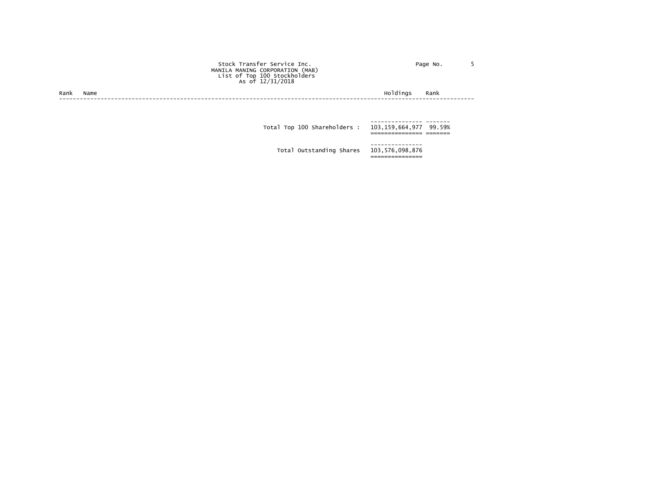|      |      | Stock Transfer Service Inc.<br>MANILA MANING CORPORATION (MAB)<br>List of Top 100 Stockholders<br>As of 12/31/2018 | Page No.         |  |
|------|------|--------------------------------------------------------------------------------------------------------------------|------------------|--|
| Rank | Name |                                                                                                                    | Holdings<br>Rank |  |
|      |      |                                                                                                                    |                  |  |
|      |      | Total Top 100 Shareholders : 103,159,664,977 99.59%                                                                |                  |  |
|      |      | Total Outstanding Shares 103,576,098,876                                                                           |                  |  |

===============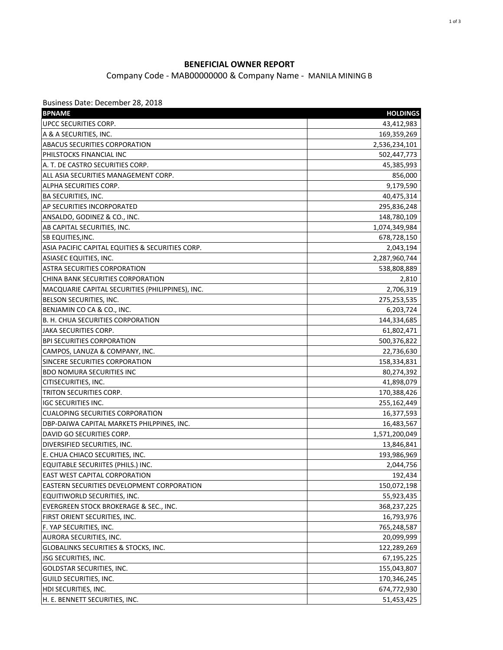## **BENEFICIAL OWNER REPORT**

## Company Code - MAB00000000 & Company Name - MANILA MINING B

Business Date: December 28, 2018

| UPCC SECURITIES CORP.<br>43,412,983<br>A & A SECURITIES, INC.<br>169,359,269<br><b>ABACUS SECURITIES CORPORATION</b><br>2,536,234,101<br>PHILSTOCKS FINANCIAL INC<br>502,447,773<br>A. T. DE CASTRO SECURITIES CORP.<br>45,385,993<br>ALL ASIA SECURITIES MANAGEMENT CORP.<br>856,000<br>9,179,590<br>ALPHA SECURITIES CORP.<br><b>BA SECURITIES, INC.</b><br>40,475,314<br>AP SECURITIES INCORPORATED<br>295,836,248<br>ANSALDO, GODINEZ & CO., INC.<br>148,780,109<br>AB CAPITAL SECURITIES, INC.<br>1,074,349,984<br>SB EQUITIES, INC.<br>678,728,150<br>ASIA PACIFIC CAPITAL EQUITIES & SECURITIES CORP.<br>2,043,194<br>ASIASEC EQUITIES, INC.<br>2,287,960,744<br><b>ASTRA SECURITIES CORPORATION</b><br>538,808,889<br>CHINA BANK SECURITIES CORPORATION<br>2,810<br>MACQUARIE CAPITAL SECURITIES (PHILIPPINES), INC.<br>2,706,319<br>BELSON SECURITIES, INC.<br>275,253,535<br>BENJAMIN CO CA & CO., INC.<br>6,203,724<br>B. H. CHUA SECURITIES CORPORATION<br>144,334,685<br>JAKA SECURITIES CORP.<br>61,802,471<br><b>BPI SECURITIES CORPORATION</b><br>500,376,822<br>CAMPOS, LANUZA & COMPANY, INC.<br>22,736,630<br>SINCERE SECURITIES CORPORATION<br>158,334,831<br><b>BDO NOMURA SECURITIES INC</b><br>80,274,392<br>CITISECURITIES, INC.<br>41,898,079<br>TRITON SECURITIES CORP.<br>170,388,426<br><b>IGC SECURITIES INC.</b><br>255,162,449<br><b>CUALOPING SECURITIES CORPORATION</b><br>16,377,593<br>DBP-DAIWA CAPITAL MARKETS PHILPPINES, INC.<br>16,483,567<br>DAVID GO SECURITIES CORP.<br>1,571,200,049<br>DIVERSIFIED SECURITIES, INC.<br>13,846,841<br>E. CHUA CHIACO SECURITIES, INC.<br>193,986,969<br>EQUITABLE SECURIITES (PHILS.) INC.<br>2,044,756<br>192,434<br>EASTERN SECURITIES DEVELOPMENT CORPORATION<br>150,072,198<br>55,923,435<br>EQUITIWORLD SECURITIES, INC.<br>EVERGREEN STOCK BROKERAGE & SEC., INC.<br>368,237,225<br>FIRST ORIENT SECURITIES, INC.<br>16,793,976<br>F. YAP SECURITIES, INC.<br>765,248,587<br>AURORA SECURITIES, INC.<br>20,099,999<br>GLOBALINKS SECURITIES & STOCKS, INC.<br>122,289,269<br>JSG SECURITIES, INC.<br>67,195,225<br><b>GOLDSTAR SECURITIES, INC.</b><br>155,043,807<br>GUILD SECURITIES, INC.<br>170,346,245<br>HDI SECURITIES, INC.<br>674,772,930 | <b>BPNAME</b>                        | <b>HOLDINGS</b> |
|--------------------------------------------------------------------------------------------------------------------------------------------------------------------------------------------------------------------------------------------------------------------------------------------------------------------------------------------------------------------------------------------------------------------------------------------------------------------------------------------------------------------------------------------------------------------------------------------------------------------------------------------------------------------------------------------------------------------------------------------------------------------------------------------------------------------------------------------------------------------------------------------------------------------------------------------------------------------------------------------------------------------------------------------------------------------------------------------------------------------------------------------------------------------------------------------------------------------------------------------------------------------------------------------------------------------------------------------------------------------------------------------------------------------------------------------------------------------------------------------------------------------------------------------------------------------------------------------------------------------------------------------------------------------------------------------------------------------------------------------------------------------------------------------------------------------------------------------------------------------------------------------------------------------------------------------------------------------------------------------------------------------------------------------------------------------------------------------------------------------------------------------------------------------------------------------------------------------------------------|--------------------------------------|-----------------|
|                                                                                                                                                                                                                                                                                                                                                                                                                                                                                                                                                                                                                                                                                                                                                                                                                                                                                                                                                                                                                                                                                                                                                                                                                                                                                                                                                                                                                                                                                                                                                                                                                                                                                                                                                                                                                                                                                                                                                                                                                                                                                                                                                                                                                                      |                                      |                 |
|                                                                                                                                                                                                                                                                                                                                                                                                                                                                                                                                                                                                                                                                                                                                                                                                                                                                                                                                                                                                                                                                                                                                                                                                                                                                                                                                                                                                                                                                                                                                                                                                                                                                                                                                                                                                                                                                                                                                                                                                                                                                                                                                                                                                                                      |                                      |                 |
|                                                                                                                                                                                                                                                                                                                                                                                                                                                                                                                                                                                                                                                                                                                                                                                                                                                                                                                                                                                                                                                                                                                                                                                                                                                                                                                                                                                                                                                                                                                                                                                                                                                                                                                                                                                                                                                                                                                                                                                                                                                                                                                                                                                                                                      |                                      |                 |
|                                                                                                                                                                                                                                                                                                                                                                                                                                                                                                                                                                                                                                                                                                                                                                                                                                                                                                                                                                                                                                                                                                                                                                                                                                                                                                                                                                                                                                                                                                                                                                                                                                                                                                                                                                                                                                                                                                                                                                                                                                                                                                                                                                                                                                      |                                      |                 |
|                                                                                                                                                                                                                                                                                                                                                                                                                                                                                                                                                                                                                                                                                                                                                                                                                                                                                                                                                                                                                                                                                                                                                                                                                                                                                                                                                                                                                                                                                                                                                                                                                                                                                                                                                                                                                                                                                                                                                                                                                                                                                                                                                                                                                                      |                                      |                 |
|                                                                                                                                                                                                                                                                                                                                                                                                                                                                                                                                                                                                                                                                                                                                                                                                                                                                                                                                                                                                                                                                                                                                                                                                                                                                                                                                                                                                                                                                                                                                                                                                                                                                                                                                                                                                                                                                                                                                                                                                                                                                                                                                                                                                                                      |                                      |                 |
|                                                                                                                                                                                                                                                                                                                                                                                                                                                                                                                                                                                                                                                                                                                                                                                                                                                                                                                                                                                                                                                                                                                                                                                                                                                                                                                                                                                                                                                                                                                                                                                                                                                                                                                                                                                                                                                                                                                                                                                                                                                                                                                                                                                                                                      |                                      |                 |
|                                                                                                                                                                                                                                                                                                                                                                                                                                                                                                                                                                                                                                                                                                                                                                                                                                                                                                                                                                                                                                                                                                                                                                                                                                                                                                                                                                                                                                                                                                                                                                                                                                                                                                                                                                                                                                                                                                                                                                                                                                                                                                                                                                                                                                      |                                      |                 |
|                                                                                                                                                                                                                                                                                                                                                                                                                                                                                                                                                                                                                                                                                                                                                                                                                                                                                                                                                                                                                                                                                                                                                                                                                                                                                                                                                                                                                                                                                                                                                                                                                                                                                                                                                                                                                                                                                                                                                                                                                                                                                                                                                                                                                                      |                                      |                 |
|                                                                                                                                                                                                                                                                                                                                                                                                                                                                                                                                                                                                                                                                                                                                                                                                                                                                                                                                                                                                                                                                                                                                                                                                                                                                                                                                                                                                                                                                                                                                                                                                                                                                                                                                                                                                                                                                                                                                                                                                                                                                                                                                                                                                                                      |                                      |                 |
|                                                                                                                                                                                                                                                                                                                                                                                                                                                                                                                                                                                                                                                                                                                                                                                                                                                                                                                                                                                                                                                                                                                                                                                                                                                                                                                                                                                                                                                                                                                                                                                                                                                                                                                                                                                                                                                                                                                                                                                                                                                                                                                                                                                                                                      |                                      |                 |
|                                                                                                                                                                                                                                                                                                                                                                                                                                                                                                                                                                                                                                                                                                                                                                                                                                                                                                                                                                                                                                                                                                                                                                                                                                                                                                                                                                                                                                                                                                                                                                                                                                                                                                                                                                                                                                                                                                                                                                                                                                                                                                                                                                                                                                      |                                      |                 |
|                                                                                                                                                                                                                                                                                                                                                                                                                                                                                                                                                                                                                                                                                                                                                                                                                                                                                                                                                                                                                                                                                                                                                                                                                                                                                                                                                                                                                                                                                                                                                                                                                                                                                                                                                                                                                                                                                                                                                                                                                                                                                                                                                                                                                                      |                                      |                 |
|                                                                                                                                                                                                                                                                                                                                                                                                                                                                                                                                                                                                                                                                                                                                                                                                                                                                                                                                                                                                                                                                                                                                                                                                                                                                                                                                                                                                                                                                                                                                                                                                                                                                                                                                                                                                                                                                                                                                                                                                                                                                                                                                                                                                                                      |                                      |                 |
|                                                                                                                                                                                                                                                                                                                                                                                                                                                                                                                                                                                                                                                                                                                                                                                                                                                                                                                                                                                                                                                                                                                                                                                                                                                                                                                                                                                                                                                                                                                                                                                                                                                                                                                                                                                                                                                                                                                                                                                                                                                                                                                                                                                                                                      |                                      |                 |
|                                                                                                                                                                                                                                                                                                                                                                                                                                                                                                                                                                                                                                                                                                                                                                                                                                                                                                                                                                                                                                                                                                                                                                                                                                                                                                                                                                                                                                                                                                                                                                                                                                                                                                                                                                                                                                                                                                                                                                                                                                                                                                                                                                                                                                      |                                      |                 |
|                                                                                                                                                                                                                                                                                                                                                                                                                                                                                                                                                                                                                                                                                                                                                                                                                                                                                                                                                                                                                                                                                                                                                                                                                                                                                                                                                                                                                                                                                                                                                                                                                                                                                                                                                                                                                                                                                                                                                                                                                                                                                                                                                                                                                                      |                                      |                 |
|                                                                                                                                                                                                                                                                                                                                                                                                                                                                                                                                                                                                                                                                                                                                                                                                                                                                                                                                                                                                                                                                                                                                                                                                                                                                                                                                                                                                                                                                                                                                                                                                                                                                                                                                                                                                                                                                                                                                                                                                                                                                                                                                                                                                                                      |                                      |                 |
|                                                                                                                                                                                                                                                                                                                                                                                                                                                                                                                                                                                                                                                                                                                                                                                                                                                                                                                                                                                                                                                                                                                                                                                                                                                                                                                                                                                                                                                                                                                                                                                                                                                                                                                                                                                                                                                                                                                                                                                                                                                                                                                                                                                                                                      |                                      |                 |
|                                                                                                                                                                                                                                                                                                                                                                                                                                                                                                                                                                                                                                                                                                                                                                                                                                                                                                                                                                                                                                                                                                                                                                                                                                                                                                                                                                                                                                                                                                                                                                                                                                                                                                                                                                                                                                                                                                                                                                                                                                                                                                                                                                                                                                      |                                      |                 |
|                                                                                                                                                                                                                                                                                                                                                                                                                                                                                                                                                                                                                                                                                                                                                                                                                                                                                                                                                                                                                                                                                                                                                                                                                                                                                                                                                                                                                                                                                                                                                                                                                                                                                                                                                                                                                                                                                                                                                                                                                                                                                                                                                                                                                                      |                                      |                 |
|                                                                                                                                                                                                                                                                                                                                                                                                                                                                                                                                                                                                                                                                                                                                                                                                                                                                                                                                                                                                                                                                                                                                                                                                                                                                                                                                                                                                                                                                                                                                                                                                                                                                                                                                                                                                                                                                                                                                                                                                                                                                                                                                                                                                                                      |                                      |                 |
|                                                                                                                                                                                                                                                                                                                                                                                                                                                                                                                                                                                                                                                                                                                                                                                                                                                                                                                                                                                                                                                                                                                                                                                                                                                                                                                                                                                                                                                                                                                                                                                                                                                                                                                                                                                                                                                                                                                                                                                                                                                                                                                                                                                                                                      |                                      |                 |
|                                                                                                                                                                                                                                                                                                                                                                                                                                                                                                                                                                                                                                                                                                                                                                                                                                                                                                                                                                                                                                                                                                                                                                                                                                                                                                                                                                                                                                                                                                                                                                                                                                                                                                                                                                                                                                                                                                                                                                                                                                                                                                                                                                                                                                      |                                      |                 |
|                                                                                                                                                                                                                                                                                                                                                                                                                                                                                                                                                                                                                                                                                                                                                                                                                                                                                                                                                                                                                                                                                                                                                                                                                                                                                                                                                                                                                                                                                                                                                                                                                                                                                                                                                                                                                                                                                                                                                                                                                                                                                                                                                                                                                                      |                                      |                 |
|                                                                                                                                                                                                                                                                                                                                                                                                                                                                                                                                                                                                                                                                                                                                                                                                                                                                                                                                                                                                                                                                                                                                                                                                                                                                                                                                                                                                                                                                                                                                                                                                                                                                                                                                                                                                                                                                                                                                                                                                                                                                                                                                                                                                                                      |                                      |                 |
|                                                                                                                                                                                                                                                                                                                                                                                                                                                                                                                                                                                                                                                                                                                                                                                                                                                                                                                                                                                                                                                                                                                                                                                                                                                                                                                                                                                                                                                                                                                                                                                                                                                                                                                                                                                                                                                                                                                                                                                                                                                                                                                                                                                                                                      |                                      |                 |
|                                                                                                                                                                                                                                                                                                                                                                                                                                                                                                                                                                                                                                                                                                                                                                                                                                                                                                                                                                                                                                                                                                                                                                                                                                                                                                                                                                                                                                                                                                                                                                                                                                                                                                                                                                                                                                                                                                                                                                                                                                                                                                                                                                                                                                      |                                      |                 |
|                                                                                                                                                                                                                                                                                                                                                                                                                                                                                                                                                                                                                                                                                                                                                                                                                                                                                                                                                                                                                                                                                                                                                                                                                                                                                                                                                                                                                                                                                                                                                                                                                                                                                                                                                                                                                                                                                                                                                                                                                                                                                                                                                                                                                                      |                                      |                 |
|                                                                                                                                                                                                                                                                                                                                                                                                                                                                                                                                                                                                                                                                                                                                                                                                                                                                                                                                                                                                                                                                                                                                                                                                                                                                                                                                                                                                                                                                                                                                                                                                                                                                                                                                                                                                                                                                                                                                                                                                                                                                                                                                                                                                                                      |                                      |                 |
|                                                                                                                                                                                                                                                                                                                                                                                                                                                                                                                                                                                                                                                                                                                                                                                                                                                                                                                                                                                                                                                                                                                                                                                                                                                                                                                                                                                                                                                                                                                                                                                                                                                                                                                                                                                                                                                                                                                                                                                                                                                                                                                                                                                                                                      |                                      |                 |
|                                                                                                                                                                                                                                                                                                                                                                                                                                                                                                                                                                                                                                                                                                                                                                                                                                                                                                                                                                                                                                                                                                                                                                                                                                                                                                                                                                                                                                                                                                                                                                                                                                                                                                                                                                                                                                                                                                                                                                                                                                                                                                                                                                                                                                      |                                      |                 |
|                                                                                                                                                                                                                                                                                                                                                                                                                                                                                                                                                                                                                                                                                                                                                                                                                                                                                                                                                                                                                                                                                                                                                                                                                                                                                                                                                                                                                                                                                                                                                                                                                                                                                                                                                                                                                                                                                                                                                                                                                                                                                                                                                                                                                                      |                                      |                 |
|                                                                                                                                                                                                                                                                                                                                                                                                                                                                                                                                                                                                                                                                                                                                                                                                                                                                                                                                                                                                                                                                                                                                                                                                                                                                                                                                                                                                                                                                                                                                                                                                                                                                                                                                                                                                                                                                                                                                                                                                                                                                                                                                                                                                                                      |                                      |                 |
|                                                                                                                                                                                                                                                                                                                                                                                                                                                                                                                                                                                                                                                                                                                                                                                                                                                                                                                                                                                                                                                                                                                                                                                                                                                                                                                                                                                                                                                                                                                                                                                                                                                                                                                                                                                                                                                                                                                                                                                                                                                                                                                                                                                                                                      | <b>EAST WEST CAPITAL CORPORATION</b> |                 |
|                                                                                                                                                                                                                                                                                                                                                                                                                                                                                                                                                                                                                                                                                                                                                                                                                                                                                                                                                                                                                                                                                                                                                                                                                                                                                                                                                                                                                                                                                                                                                                                                                                                                                                                                                                                                                                                                                                                                                                                                                                                                                                                                                                                                                                      |                                      |                 |
|                                                                                                                                                                                                                                                                                                                                                                                                                                                                                                                                                                                                                                                                                                                                                                                                                                                                                                                                                                                                                                                                                                                                                                                                                                                                                                                                                                                                                                                                                                                                                                                                                                                                                                                                                                                                                                                                                                                                                                                                                                                                                                                                                                                                                                      |                                      |                 |
|                                                                                                                                                                                                                                                                                                                                                                                                                                                                                                                                                                                                                                                                                                                                                                                                                                                                                                                                                                                                                                                                                                                                                                                                                                                                                                                                                                                                                                                                                                                                                                                                                                                                                                                                                                                                                                                                                                                                                                                                                                                                                                                                                                                                                                      |                                      |                 |
|                                                                                                                                                                                                                                                                                                                                                                                                                                                                                                                                                                                                                                                                                                                                                                                                                                                                                                                                                                                                                                                                                                                                                                                                                                                                                                                                                                                                                                                                                                                                                                                                                                                                                                                                                                                                                                                                                                                                                                                                                                                                                                                                                                                                                                      |                                      |                 |
|                                                                                                                                                                                                                                                                                                                                                                                                                                                                                                                                                                                                                                                                                                                                                                                                                                                                                                                                                                                                                                                                                                                                                                                                                                                                                                                                                                                                                                                                                                                                                                                                                                                                                                                                                                                                                                                                                                                                                                                                                                                                                                                                                                                                                                      |                                      |                 |
|                                                                                                                                                                                                                                                                                                                                                                                                                                                                                                                                                                                                                                                                                                                                                                                                                                                                                                                                                                                                                                                                                                                                                                                                                                                                                                                                                                                                                                                                                                                                                                                                                                                                                                                                                                                                                                                                                                                                                                                                                                                                                                                                                                                                                                      |                                      |                 |
|                                                                                                                                                                                                                                                                                                                                                                                                                                                                                                                                                                                                                                                                                                                                                                                                                                                                                                                                                                                                                                                                                                                                                                                                                                                                                                                                                                                                                                                                                                                                                                                                                                                                                                                                                                                                                                                                                                                                                                                                                                                                                                                                                                                                                                      |                                      |                 |
|                                                                                                                                                                                                                                                                                                                                                                                                                                                                                                                                                                                                                                                                                                                                                                                                                                                                                                                                                                                                                                                                                                                                                                                                                                                                                                                                                                                                                                                                                                                                                                                                                                                                                                                                                                                                                                                                                                                                                                                                                                                                                                                                                                                                                                      |                                      |                 |
|                                                                                                                                                                                                                                                                                                                                                                                                                                                                                                                                                                                                                                                                                                                                                                                                                                                                                                                                                                                                                                                                                                                                                                                                                                                                                                                                                                                                                                                                                                                                                                                                                                                                                                                                                                                                                                                                                                                                                                                                                                                                                                                                                                                                                                      |                                      |                 |
|                                                                                                                                                                                                                                                                                                                                                                                                                                                                                                                                                                                                                                                                                                                                                                                                                                                                                                                                                                                                                                                                                                                                                                                                                                                                                                                                                                                                                                                                                                                                                                                                                                                                                                                                                                                                                                                                                                                                                                                                                                                                                                                                                                                                                                      |                                      |                 |
|                                                                                                                                                                                                                                                                                                                                                                                                                                                                                                                                                                                                                                                                                                                                                                                                                                                                                                                                                                                                                                                                                                                                                                                                                                                                                                                                                                                                                                                                                                                                                                                                                                                                                                                                                                                                                                                                                                                                                                                                                                                                                                                                                                                                                                      |                                      |                 |
|                                                                                                                                                                                                                                                                                                                                                                                                                                                                                                                                                                                                                                                                                                                                                                                                                                                                                                                                                                                                                                                                                                                                                                                                                                                                                                                                                                                                                                                                                                                                                                                                                                                                                                                                                                                                                                                                                                                                                                                                                                                                                                                                                                                                                                      | H. E. BENNETT SECURITIES, INC.       | 51,453,425      |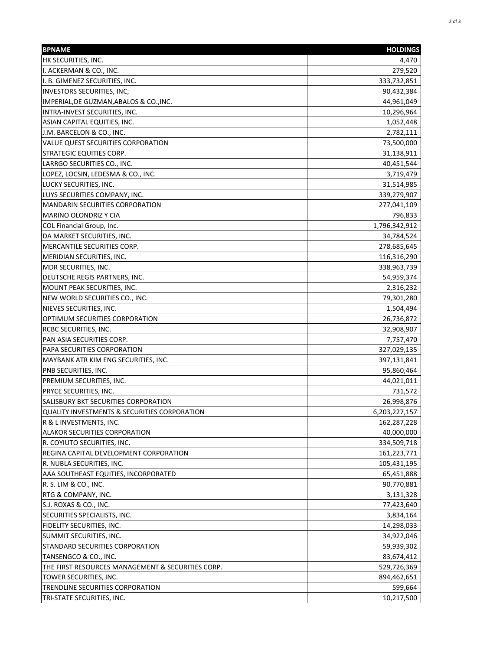| <b>BPNAME</b>                                     | <b>HOLDINGS</b> |
|---------------------------------------------------|-----------------|
| HK SECURITIES, INC.                               | 4,470           |
| I. ACKERMAN & CO., INC.                           | 279,520         |
| II. B. GIMENEZ SECURITIES, INC.                   | 333,732,851     |
| <b>INVESTORS SECURITIES, INC,</b>                 | 90,432,384      |
| IMPERIAL, DE GUZMAN, ABALOS & CO., INC.           | 44,961,049      |
| INTRA-INVEST SECURITIES, INC.                     | 10,296,964      |
| ASIAN CAPITAL EQUITIES, INC.                      | 1,052,448       |
| J.M. BARCELON & CO., INC.                         | 2,782,111       |
| VALUE QUEST SECURITIES CORPORATION                | 73,500,000      |
| <b>STRATEGIC EQUITIES CORP.</b>                   | 31,138,911      |
| LARRGO SECURITIES CO., INC.                       | 40,451,544      |
| LOPEZ, LOCSIN, LEDESMA & CO., INC.                | 3,719,479       |
| LUCKY SECURITIES, INC.                            | 31,514,985      |
| LUYS SECURITIES COMPANY, INC.                     | 339,279,907     |
| <b>MANDARIN SECURITIES CORPORATION</b>            | 277,041,109     |
| MARINO OLONDRIZ Y CIA                             | 796,833         |
| COL Financial Group, Inc.                         | 1,796,342,912   |
| DA MARKET SECURITIES, INC.                        | 34,784,524      |
| MERCANTILE SECURITIES CORP.                       | 278,685,645     |
| MERIDIAN SECURITIES, INC.                         | 116,316,290     |
| MDR SECURITIES, INC.                              | 338,963,739     |
| DEUTSCHE REGIS PARTNERS, INC.                     | 54,959,374      |
| MOUNT PEAK SECURITIES, INC.                       | 2,316,232       |
| NEW WORLD SECURITIES CO., INC.                    | 79,301,280      |
| NIEVES SECURITIES, INC.                           | 1,504,494       |
| OPTIMUM SECURITIES CORPORATION                    | 26,736,872      |
| <b>RCBC SECURITIES, INC.</b>                      | 32,908,907      |
| PAN ASIA SECURITIES CORP.                         | 7,757,470       |
| PAPA SECURITIES CORPORATION                       | 327,029,135     |
| MAYBANK ATR KIM ENG SECURITIES, INC.              | 397,131,841     |
| PNB SECURITIES, INC.                              | 95,860,464      |
| PREMIUM SECURITIES, INC.                          | 44,021,011      |
| <b>PRYCE SECURITIES, INC.</b>                     | 731,572         |
| SALISBURY BKT SECURITIES CORPORATION              | 26,998,876      |
| QUALITY INVESTMENTS & SECURITIES CORPORATION      | 6,203,227,157   |
| R & L INVESTMENTS, INC.                           | 162,287,228     |
| <b>ALAKOR SECURITIES CORPORATION</b>              | 40,000,000      |
| R. COYIUTO SECURITIES, INC.                       | 334,509,718     |
| REGINA CAPITAL DEVELOPMENT CORPORATION            | 161,223,771     |
| R. NUBLA SECURITIES, INC.                         | 105,431,195     |
| AAA SOUTHEAST EQUITIES, INCORPORATED              | 65,451,888      |
| R. S. LIM & CO., INC.                             | 90,770,881      |
| RTG & COMPANY, INC.                               | 3,131,328       |
| S.J. ROXAS & CO., INC.                            | 77,423,640      |
| SECURITIES SPECIALISTS, INC.                      | 3,834,164       |
| FIDELITY SECURITIES, INC.                         | 14,298,033      |
| SUMMIT SECURITIES, INC.                           | 34,922,046      |
| STANDARD SECURITIES CORPORATION                   | 59,939,302      |
| TANSENGCO & CO., INC.                             | 83,674,412      |
| THE FIRST RESOURCES MANAGEMENT & SECURITIES CORP. | 529,726,369     |
| TOWER SECURITIES, INC.                            | 894,462,651     |
| TRENDLINE SECURITIES CORPORATION                  | 599,664         |
| TRI-STATE SECURITIES, INC.                        | 10,217,500      |